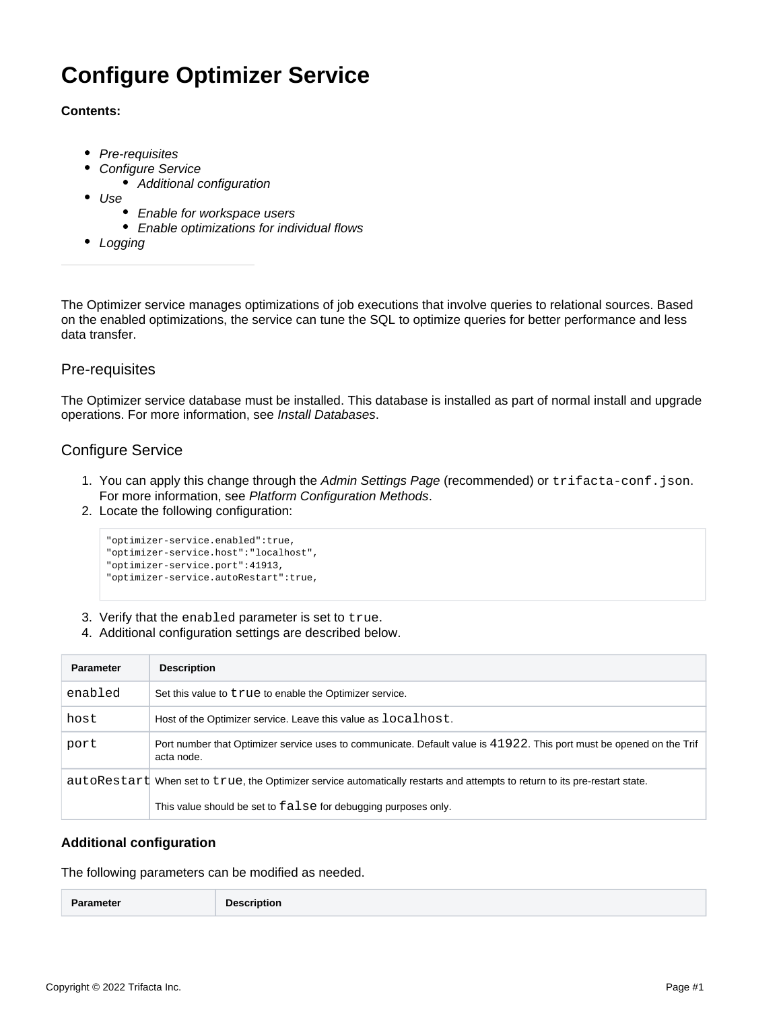# **Configure Optimizer Service**

### **Contents:**

- [Pre-requisites](#page-0-0)
- [Configure Service](#page-0-1)
	- [Additional configuration](#page-0-2)
- [Use](#page-1-0)
	- [Enable for workspace users](#page-1-1)
	- [Enable optimizations for individual flows](#page-1-2)
- [Logging](#page-1-3)

The Optimizer service manages optimizations of job executions that involve queries to relational sources. Based on the enabled optimizations, the service can tune the SQL to optimize queries for better performance and less data transfer.

# <span id="page-0-0"></span>Pre-requisites

The Optimizer service database must be installed. This database is installed as part of normal install and upgrade operations. For more information, see [Install Databases](https://docs.trifacta.com/display/r082/Install+Databases).

# <span id="page-0-1"></span>Configure Service

- 1. You can apply this change through the [Admin Settings Page](https://docs.trifacta.com/display/r082/Admin+Settings+Page) (recommended) or trifacta-conf.json. For more information, see [Platform Configuration Methods](https://docs.trifacta.com/display/r082/Platform+Configuration+Methods).
- 2. Locate the following configuration:

```
"optimizer-service.enabled":true,
"optimizer-service.host":"localhost",
"optimizer-service.port":41913,
"optimizer-service.autoRestart":true,
```
- 3. Verify that the enabled parameter is set to true.
- 4. Additional configuration settings are described below.

| <b>Parameter</b> | <b>Description</b>                                                                                                                 |
|------------------|------------------------------------------------------------------------------------------------------------------------------------|
| enabled          | Set this value to true to enable the Optimizer service.                                                                            |
| host             | Host of the Optimizer service. Leave this value as localhost.                                                                      |
| port             | Port number that Optimizer service uses to communicate. Default value is 41922. This port must be opened on the Trif<br>acta node. |
|                  | autoRestart When set to true, the Optimizer service automatically restarts and attempts to return to its pre-restart state.        |
|                  | This value should be set to false for debugging purposes only.                                                                     |

## <span id="page-0-2"></span>**Additional configuration**

The following parameters can be modified as needed.

|--|